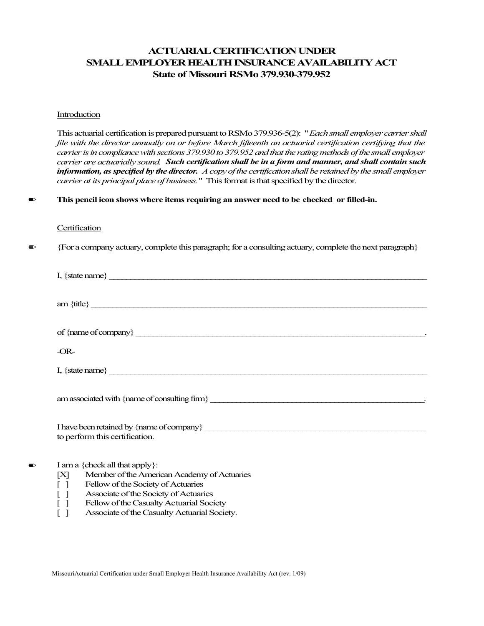# **ACTUARIAL CERTIFICATION UNDER SMALL EMPLOYER HEALTH INSURANCE AVAILABILITY ACT State of Missouri RSMo 379.930-379.952**

#### Introduction

This actuarial certification is prepared pursuant to RSMo 379.936-5(2): "*Each small employer carrier shall file with the director annually on or before March fifteenth an actuarial certification certifying that the carrier is in compliance with sections 379.930 to 379.952 and that the rating methods of the small employer carrier are actuarially sound. Such certification shall be in a form and manner, and shall contain such information, as specified by the director. A copy of the certification shall be retained by the small employer carrier at its principal place of business.*" This format is that specified by the director.

✏ **This pencil icon shows where items requiring an answer need to be checked or filled-in.**

#### **Certification**

✏ {For a company actuary, complete this paragraph; for a consulting actuary, complete the next paragraph}

|           | I, {state name} $\qquad \qquad$                                                                                                                                     |
|-----------|---------------------------------------------------------------------------------------------------------------------------------------------------------------------|
|           |                                                                                                                                                                     |
|           |                                                                                                                                                                     |
|           | of $\{name of company\}$                                                                                                                                            |
|           | $-OR-$                                                                                                                                                              |
|           | I, {state name} $\qquad \qquad$                                                                                                                                     |
|           |                                                                                                                                                                     |
|           | to perform this certification.                                                                                                                                      |
| $\bullet$ | I am a {check all that apply}:<br>Member of the American Academy of Actuaries<br>[X]<br>Fellow of the Society of Actuaries<br>Associate of the Society of Actuaries |

- 
- [ ] Fellow of the Casualty Actuarial Society<br>
[ ] Associate of the Casualty Actuarial Society Associate of the Casualty Actuarial Society.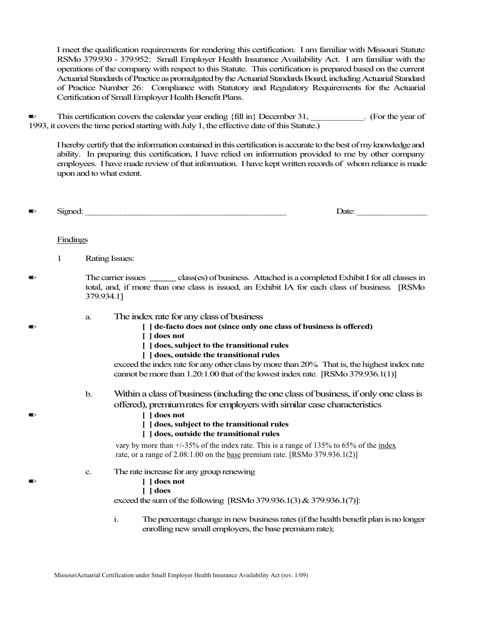I meet the qualification requirements for rendering this certification. I am familiar with Missouri Statute RSMo 379.930 - 379.952: Small Employer Health Insurance Availability Act. I am familiar with the operations of the company with respect to this Statute. This certification is prepared based on the current Actuarial Standards of Practice as promulgated by the Actuarial Standards Board, including Actuarial Standard of Practice Number 26: Compliance with Statutory and Regulatory Requirements for the Actuarial Certification of Small Employer Health Benefit Plans.

 $\bullet$  This certification covers the calendar year ending {fill in} December 31, \_\_\_\_\_\_\_\_\_. (For the year of 1993, it covers the time period starting with July 1, the effective date of this Statute.)

I hereby certify that the information contained in this certification is accurate to the best of my knowledge and ability. In preparing this certification, I have relied on information provided to me by other company employees. I have made review of that information. I have kept written records of whom reliance is made upon and to what extent.

| - - -<br>$\overline{\phantom{0}}$<br>Date:<br>NPIK<br>$\overline{\phantom{a}}$<br>. . |  |
|---------------------------------------------------------------------------------------|--|
|---------------------------------------------------------------------------------------|--|

## Findings

- 1 Rating Issues:
- ✏ The carrier issues **\_\_\_\_\_\_** class(es) of business. Attached is a completed Exhibit I for all classes in total, and, if more than one class is issued, an Exhibit IA for each class of business. [RSMo 379.934.1]
	- a. The index rate for any class of business
- ✏ **[ ] de-facto does not (since only one class of business is offered)**
	- **[ ] does not**
	- **[ ] does, subject to the transitional rules**
	- **[ ] does, outside the transitional rules**

exceed the index rate for any other class by more than 20%. That is, the highest index rate cannot be more than 1.20:1.00 that of the lowest index rate. [RSMo 379.936.1(1)]

- b. Within a class of business (including the one class of business, if only one class is offered), premiumrates for employers with similar case characteristics
- ✏ **[ ] does not**
	- **[ ] does, subject to the transitional rules**
	- **[ ] does, outside the transitional rules**

vary by more than  $\pm$ /-35% of the index rate. This is a range of 135% to 65% of the index rate, or a range of  $2.08:1.00$  on the <u>base</u> premium rate. [RSMo 379.936.1(2)]

- c. The rate increase for any group renewing
- ✏ **[ ] does not**
	- **[ ] does**

exceed the sum of the following [RSMo 379.936.1(3) & 379.936.1(7)]:

i. The percentage change in new business rates (if the health benefit plan is no longer enrolling new small employers, the base premium rate);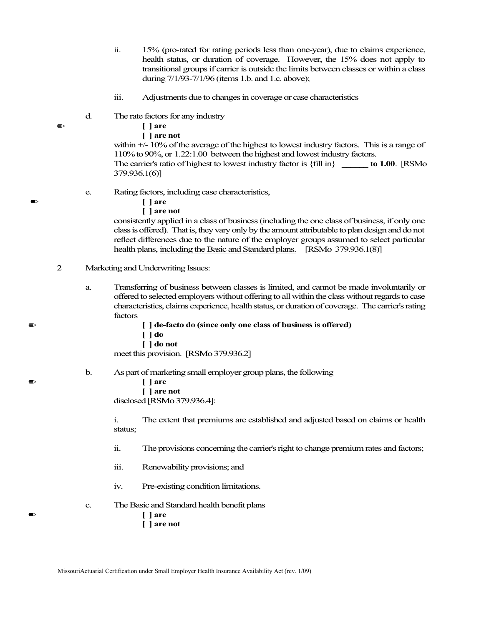- ii. 15% (pro-rated for rating periods less than one-year), due to claims experience, health status, or duration of coverage. However, the 15% does not apply to transitional groups if carrier is outside the limits between classes or within a class during 7/1/93-7/1/96 (items 1.b. and 1.c. above);
- iii. Adjustments due to changes in coverage or case characteristics
- d. The rate factors for any industry
- ✏ **[ ] are**
	- **[ ] are not**

within +/- 10% of the average of the highest to lowest industry factors. This is a range of 110% to 90%, or 1.22:1.00 between the highest and lowest industry factors. The carrier's ratio of highest to lowest industry factor is {fill in} **\_\_\_\_\_\_ to 1.00**. [RSMo 379.936.1(6)]

- e. Rating factors, including case characteristics,
- ✏ **[ ] are**
	- **[ ] are not**

consistently applied in a class of business (including the one class of business, if only one class is offered). That is, they vary only by the amount attributable to plan design and do not reflect differences due to the nature of the employer groups assumed to select particular health plans, including the Basic and Standard plans. [RSMo 379.936.1(8)]

- 2 Marketing and Underwriting Issues:
	- a. Transferring of business between classes is limited, and cannot be made involuntarily or offered to selected employers without offering to all within the class without regards to case characteristics, claims experience, health status, or duration of coverage. The carrier's rating factors

✏ **[ ] de-facto do (since only one class of business is offered)**

- **[ ] do**
- **[ ] do not**

meet this provision. [RSMo 379.936.2]

- b. As part of marketing small employer group plans, the following
- ✏ **[ ] are**
	- **[ ] are not**

disclosed [RSMo 379.936.4]:

i. The extent that premiums are established and adjusted based on claims or health status;

- ii. The provisions concerning the carrier's right to change premium rates and factors;
- iii. Renewability provisions; and
- iv. Pre-existing condition limitations.
- c. The Basic and Standard health benefit plans
- ✏ **[ ] are**
	- **[ ] are not**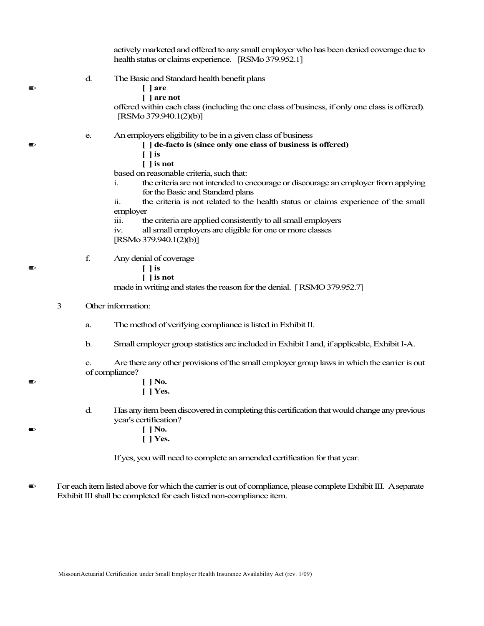actively marketed and offered to any small employer who has been denied coverage due to health status or claims experience. [RSMo 379.952.1] d. The Basic and Standard health benefit plans ✏ **[ ] are [ ] are not** offered within each class (including the one class of business, if only one class is offered).

[RSMo 379.940.1(2)(b)]

- e. An employers eligibility to be in a given class of business
- ✏ **[ ] de-facto is (since only one class of business is offered)**
	- **[ ] is**
	- **[ ] is not**

based on reasonable criteria, such that:

- i. the criteria are not intended to encourage or discourage an employer from applying for the Basic and Standard plans
- ii. the criteria is not related to the health status or claims experience of the small employer
- iii. the criteria are applied consistently to all small employers
- iv. all small employers are eligible for one or more classes [RSMo 379.940.1(2)(b)]
- f. Any denial of coverage
- ✏ **[ ] is**
	- **[ ] is not**

made in writing and states the reason for the denial. [RSMO 379.952.7]

- 3 Other information:
	- a. The method of verifying compliance is listed in Exhibit II.
	- b. Small employer group statistics are included in Exhibit I and, if applicable, Exhibit I-A.

c. Are there any other provisions of the small employer group laws in which the carrier is out of compliance?

- ✏ **[ ] No. [ ] Yes.**
	- d. Has any item been discovered in completing this certification that would change any previous year's certification?
- ✏ **[ ] No.**
	- **[ ] Yes.**

If yes, you will need to complete an amended certification for that year.

✏ For each item listed above for which the carrier is out of compliance, please complete Exhibit III. Aseparate Exhibit III shall be completed for each listed non-compliance item.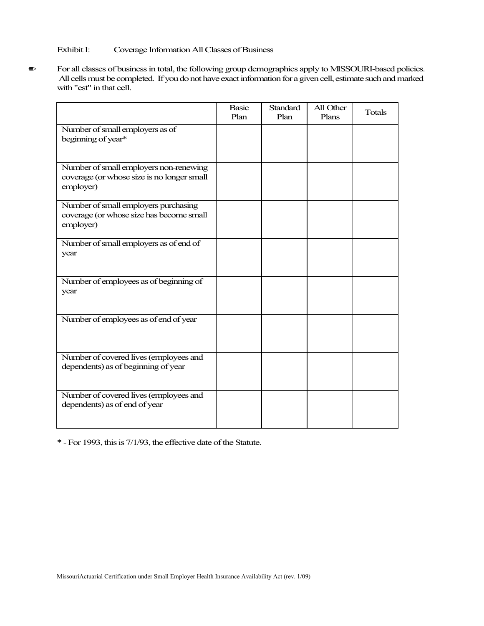Exhibit I: Coverage Information All Classes of Business

✏ For all classes of business in total, the following group demographics apply to MISSOURI-based policies. All cells must be completed. If you do not have exact information for a given cell, estimate such and marked with "est" in that cell.

|                                                                                                   | <b>Basic</b><br>Plan | <b>Standard</b><br>Plan | All Other<br>Plans | Totals |
|---------------------------------------------------------------------------------------------------|----------------------|-------------------------|--------------------|--------|
| Number of small employers as of<br>beginning of year*                                             |                      |                         |                    |        |
| Number of small employers non-renewing<br>coverage (or whose size is no longer small<br>employer) |                      |                         |                    |        |
| Number of small employers purchasing<br>coverage (or whose size has become small<br>employer)     |                      |                         |                    |        |
| Number of small employers as of end of<br>year                                                    |                      |                         |                    |        |
| Number of employees as of beginning of<br>year                                                    |                      |                         |                    |        |
| Number of employees as of end of year                                                             |                      |                         |                    |        |
| Number of covered lives (employees and<br>dependents) as of beginning of year                     |                      |                         |                    |        |
| Number of covered lives (employees and<br>dependents) as of end of year                           |                      |                         |                    |        |

\* - For 1993, this is 7/1/93, the effective date of the Statute.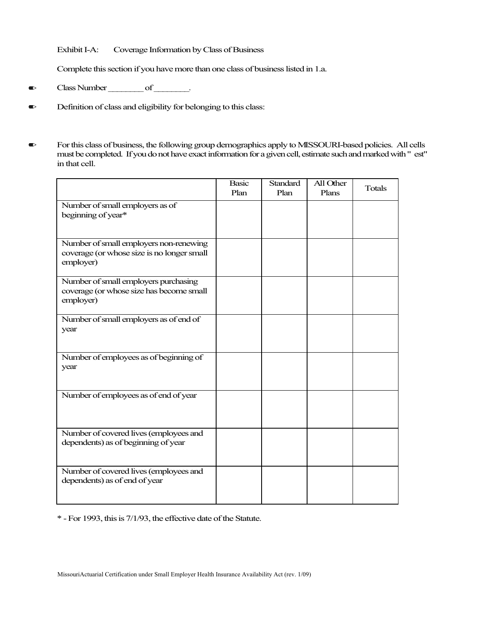Exhibit I-A: Coverage Information by Class of Business

Complete this section if you have more than one class of business listed in 1.a.

- $\bullet$  Class Number \_\_\_\_\_\_\_ of \_\_\_\_\_\_\_.
- ✏ Definition of class and eligibility for belonging to this class:
- ✏ For this class of business, the following group demographics apply to MISSOURI-based policies. All cells must be completed. If you do not have exact information for a given cell, estimate such and marked with " est" in that cell.

|                                                                                                   | <b>Basic</b><br>Plan | <b>Standard</b><br>Plan | All Other<br>Plans | <b>Totals</b> |
|---------------------------------------------------------------------------------------------------|----------------------|-------------------------|--------------------|---------------|
| Number of small employers as of<br>beginning of year*                                             |                      |                         |                    |               |
| Number of small employers non-renewing<br>coverage (or whose size is no longer small<br>employer) |                      |                         |                    |               |
| Number of small employers purchasing<br>coverage (or whose size has become small<br>employer)     |                      |                         |                    |               |
| Number of small employers as of end of<br>year                                                    |                      |                         |                    |               |
| Number of employees as of beginning of<br>year                                                    |                      |                         |                    |               |
| Number of employees as of end of year                                                             |                      |                         |                    |               |
| Number of covered lives (employees and<br>dependents) as of beginning of year                     |                      |                         |                    |               |
| Number of covered lives (employees and<br>dependents) as of end of year                           |                      |                         |                    |               |

\* - For 1993, this is 7/1/93, the effective date of the Statute.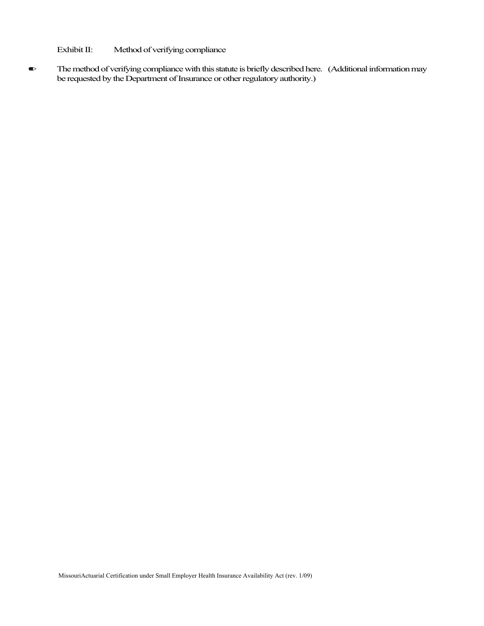Exhibit II: Method of verifying compliance

✏ The method of verifying compliance with this statute is briefly described here. (Additional information may be requested by the Department of Insurance or other regulatory authority.)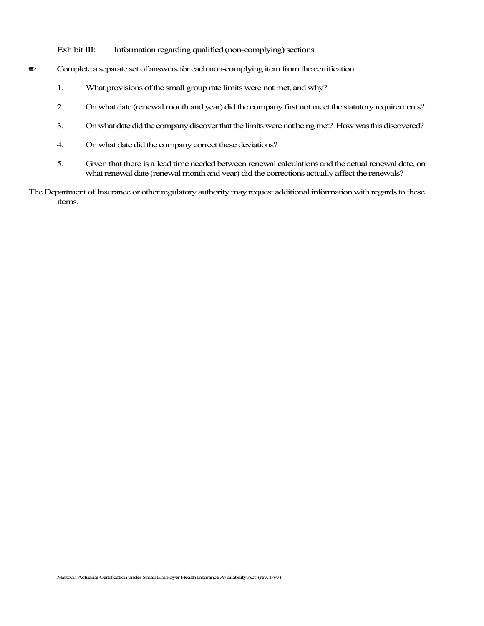Exhibit III: Information regarding qualified (non-complying) sections

- $\bullet$  Complete a separate set of answers for each non-complying item from the certification.
	- 1. What provisions of the small group rate limits were not met, and why?
	- 2. On what date (renewal month and year) did the company first not meet the statutory requirements?
	- 3. On what date did the company discover that the limits were not being met? How was this discovered?
	- 4. On what date did the company correct these deviations?
	- 5. Given that there is a lead time needed between renewal calculations and the actual renewal date, on what renewal date (renewal month and year) did the corrections actually affect the renewals?
- The Department of Insurance or other regulatory authority may request additional information with regards to these items.